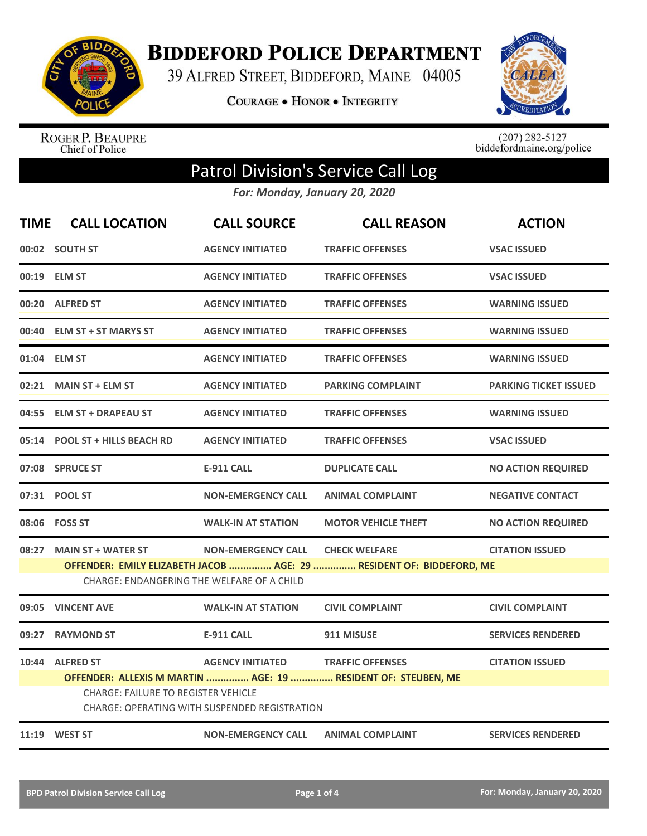

**BIDDEFORD POLICE DEPARTMENT** 

39 ALFRED STREET, BIDDEFORD, MAINE 04005

COURAGE . HONOR . INTEGRITY



ROGER P. BEAUPRE<br>Chief of Police

 $(207)$  282-5127<br>biddefordmaine.org/police

## Patrol Division's Service Call Log

*For: Monday, January 20, 2020*

| <b>TIME</b> | <b>CALL LOCATION</b>                                          | <b>CALL SOURCE</b>                                                       | <b>CALL REASON</b>                                                                           | <b>ACTION</b>                |
|-------------|---------------------------------------------------------------|--------------------------------------------------------------------------|----------------------------------------------------------------------------------------------|------------------------------|
|             | 00:02 SOUTH ST                                                | <b>AGENCY INITIATED</b>                                                  | <b>TRAFFIC OFFENSES</b>                                                                      | <b>VSAC ISSUED</b>           |
|             | 00:19 ELM ST                                                  | <b>AGENCY INITIATED</b>                                                  | <b>TRAFFIC OFFENSES</b>                                                                      | <b>VSAC ISSUED</b>           |
| 00:20       | <b>ALFRED ST</b>                                              | <b>AGENCY INITIATED</b>                                                  | <b>TRAFFIC OFFENSES</b>                                                                      | <b>WARNING ISSUED</b>        |
|             | 00:40 ELM ST + ST MARYS ST                                    | <b>AGENCY INITIATED</b>                                                  | <b>TRAFFIC OFFENSES</b>                                                                      | <b>WARNING ISSUED</b>        |
|             | 01:04 ELM ST                                                  | <b>AGENCY INITIATED</b>                                                  | <b>TRAFFIC OFFENSES</b>                                                                      | <b>WARNING ISSUED</b>        |
| 02:21       | <b>MAIN ST + ELM ST</b>                                       | <b>AGENCY INITIATED</b>                                                  | <b>PARKING COMPLAINT</b>                                                                     | <b>PARKING TICKET ISSUED</b> |
|             | 04:55 ELM ST + DRAPEAU ST                                     | <b>AGENCY INITIATED</b>                                                  | <b>TRAFFIC OFFENSES</b>                                                                      | <b>WARNING ISSUED</b>        |
|             | 05:14 POOL ST + HILLS BEACH RD                                | <b>AGENCY INITIATED</b>                                                  | <b>TRAFFIC OFFENSES</b>                                                                      | <b>VSAC ISSUED</b>           |
|             | 07:08 SPRUCE ST                                               | <b>E-911 CALL</b>                                                        | <b>DUPLICATE CALL</b>                                                                        | <b>NO ACTION REQUIRED</b>    |
|             | 07:31 POOL ST                                                 | <b>NON-EMERGENCY CALL</b>                                                | <b>ANIMAL COMPLAINT</b>                                                                      | <b>NEGATIVE CONTACT</b>      |
|             | 08:06    FOSS ST                                              | <b>WALK-IN AT STATION</b>                                                | <b>MOTOR VEHICLE THEFT</b>                                                                   | <b>NO ACTION REQUIRED</b>    |
|             | 08:27 MAIN ST + WATER ST                                      | <b>NON-EMERGENCY CALL</b><br>CHARGE: ENDANGERING THE WELFARE OF A CHILD  | <b>CHECK WELFARE</b><br>OFFENDER: EMILY ELIZABETH JACOB  AGE: 29  RESIDENT OF: BIDDEFORD, ME | <b>CITATION ISSUED</b>       |
| 09:05       | <b>VINCENT AVE</b>                                            | <b>WALK-IN AT STATION</b>                                                | <b>CIVIL COMPLAINT</b>                                                                       | <b>CIVIL COMPLAINT</b>       |
| 09:27       | <b>RAYMOND ST</b>                                             | <b>E-911 CALL</b>                                                        | 911 MISUSE                                                                                   | <b>SERVICES RENDERED</b>     |
|             | 10:44 ALFRED ST<br><b>CHARGE: FAILURE TO REGISTER VEHICLE</b> | <b>AGENCY INITIATED</b><br>CHARGE: OPERATING WITH SUSPENDED REGISTRATION | <b>TRAFFIC OFFENSES</b><br>OFFENDER: ALLEXIS M MARTIN  AGE: 19  RESIDENT OF: STEUBEN, ME     | <b>CITATION ISSUED</b>       |
|             | 11:19 WEST ST                                                 | <b>NON-EMERGENCY CALL</b>                                                | <b>ANIMAL COMPLAINT</b>                                                                      | <b>SERVICES RENDERED</b>     |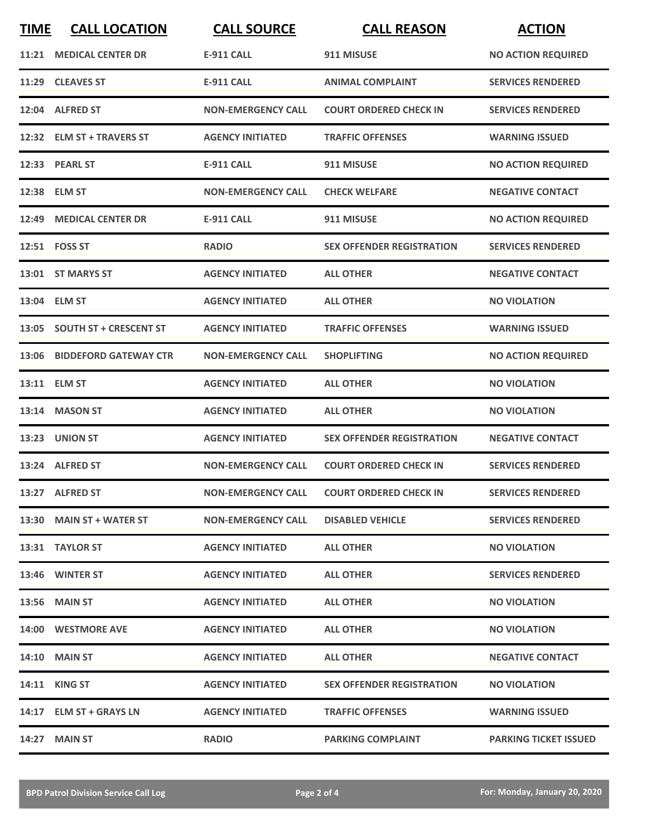| <b>TIME</b> | <b>CALL LOCATION</b>         | <b>CALL SOURCE</b>        | <b>CALL REASON</b>               | <b>ACTION</b>                |
|-------------|------------------------------|---------------------------|----------------------------------|------------------------------|
|             | 11:21 MEDICAL CENTER DR      | <b>E-911 CALL</b>         | 911 MISUSE                       | <b>NO ACTION REQUIRED</b>    |
|             | 11:29 CLEAVES ST             | <b>E-911 CALL</b>         | <b>ANIMAL COMPLAINT</b>          | <b>SERVICES RENDERED</b>     |
|             | 12:04 ALFRED ST              | <b>NON-EMERGENCY CALL</b> | <b>COURT ORDERED CHECK IN</b>    | <b>SERVICES RENDERED</b>     |
|             | 12:32 ELM ST + TRAVERS ST    | <b>AGENCY INITIATED</b>   | <b>TRAFFIC OFFENSES</b>          | <b>WARNING ISSUED</b>        |
|             | 12:33 PEARL ST               | <b>E-911 CALL</b>         | 911 MISUSE                       | <b>NO ACTION REQUIRED</b>    |
|             | 12:38 ELM ST                 | <b>NON-EMERGENCY CALL</b> | <b>CHECK WELFARE</b>             | <b>NEGATIVE CONTACT</b>      |
|             | 12:49 MEDICAL CENTER DR      | <b>E-911 CALL</b>         | 911 MISUSE                       | <b>NO ACTION REQUIRED</b>    |
|             | 12:51    FOSS ST             | <b>RADIO</b>              | <b>SEX OFFENDER REGISTRATION</b> | <b>SERVICES RENDERED</b>     |
|             | 13:01 ST MARYS ST            | <b>AGENCY INITIATED</b>   | <b>ALL OTHER</b>                 | <b>NEGATIVE CONTACT</b>      |
|             | 13:04 ELM ST                 | <b>AGENCY INITIATED</b>   | <b>ALL OTHER</b>                 | <b>NO VIOLATION</b>          |
|             | 13:05 SOUTH ST + CRESCENT ST | <b>AGENCY INITIATED</b>   | <b>TRAFFIC OFFENSES</b>          | <b>WARNING ISSUED</b>        |
|             | 13:06 BIDDEFORD GATEWAY CTR  | <b>NON-EMERGENCY CALL</b> | <b>SHOPLIFTING</b>               | <b>NO ACTION REQUIRED</b>    |
|             | 13:11 ELM ST                 | <b>AGENCY INITIATED</b>   | <b>ALL OTHER</b>                 | <b>NO VIOLATION</b>          |
|             | 13:14 MASON ST               | <b>AGENCY INITIATED</b>   | <b>ALL OTHER</b>                 | <b>NO VIOLATION</b>          |
|             | 13:23 UNION ST               | <b>AGENCY INITIATED</b>   | <b>SEX OFFENDER REGISTRATION</b> | <b>NEGATIVE CONTACT</b>      |
|             | 13:24 ALFRED ST              | <b>NON-EMERGENCY CALL</b> | <b>COURT ORDERED CHECK IN</b>    | <b>SERVICES RENDERED</b>     |
|             | 13:27 ALFRED ST              | <b>NON-EMERGENCY CALL</b> | <b>COURT ORDERED CHECK IN</b>    | <b>SERVICES RENDERED</b>     |
|             | 13:30 MAIN ST + WATER ST     | <b>NON-EMERGENCY CALL</b> | <b>DISABLED VEHICLE</b>          | <b>SERVICES RENDERED</b>     |
|             | 13:31 TAYLOR ST              | <b>AGENCY INITIATED</b>   | <b>ALL OTHER</b>                 | <b>NO VIOLATION</b>          |
|             | 13:46 WINTER ST              | <b>AGENCY INITIATED</b>   | <b>ALL OTHER</b>                 | <b>SERVICES RENDERED</b>     |
|             | <b>13:56 MAIN ST</b>         | <b>AGENCY INITIATED</b>   | <b>ALL OTHER</b>                 | <b>NO VIOLATION</b>          |
|             | 14:00 WESTMORE AVE           | <b>AGENCY INITIATED</b>   | <b>ALL OTHER</b>                 | <b>NO VIOLATION</b>          |
|             | <b>14:10 MAIN ST</b>         | <b>AGENCY INITIATED</b>   | <b>ALL OTHER</b>                 | <b>NEGATIVE CONTACT</b>      |
|             | 14:11 KING ST                | <b>AGENCY INITIATED</b>   | <b>SEX OFFENDER REGISTRATION</b> | <b>NO VIOLATION</b>          |
|             | 14:17 ELM ST + GRAYS LN      | <b>AGENCY INITIATED</b>   | <b>TRAFFIC OFFENSES</b>          | <b>WARNING ISSUED</b>        |
|             | 14:27 MAIN ST                | <b>RADIO</b>              | <b>PARKING COMPLAINT</b>         | <b>PARKING TICKET ISSUED</b> |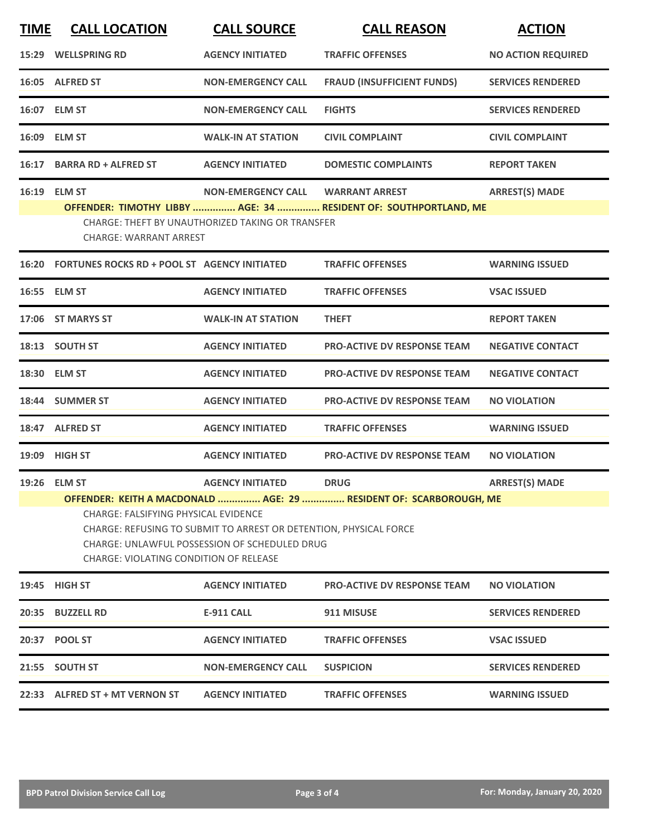| <b>TIME</b> | <b>CALL LOCATION</b>                                                                                                                           | <b>CALL SOURCE</b>                                                                                                        | <b>CALL REASON</b>                                                                | <b>ACTION</b>             |  |  |
|-------------|------------------------------------------------------------------------------------------------------------------------------------------------|---------------------------------------------------------------------------------------------------------------------------|-----------------------------------------------------------------------------------|---------------------------|--|--|
|             | 15:29 WELLSPRING RD                                                                                                                            | <b>AGENCY INITIATED</b>                                                                                                   | <b>TRAFFIC OFFENSES</b>                                                           | <b>NO ACTION REQUIRED</b> |  |  |
|             | 16:05 ALFRED ST                                                                                                                                | <b>NON-EMERGENCY CALL</b>                                                                                                 | <b>FRAUD (INSUFFICIENT FUNDS)</b>                                                 | <b>SERVICES RENDERED</b>  |  |  |
|             | 16:07 ELM ST                                                                                                                                   | <b>NON-EMERGENCY CALL</b>                                                                                                 | <b>FIGHTS</b>                                                                     | <b>SERVICES RENDERED</b>  |  |  |
|             | 16:09 ELM ST                                                                                                                                   | <b>WALK-IN AT STATION</b>                                                                                                 | <b>CIVIL COMPLAINT</b>                                                            | <b>CIVIL COMPLAINT</b>    |  |  |
|             | 16:17 BARRA RD + ALFRED ST                                                                                                                     | <b>AGENCY INITIATED</b>                                                                                                   | <b>DOMESTIC COMPLAINTS</b>                                                        | <b>REPORT TAKEN</b>       |  |  |
|             | 16:19 ELM ST                                                                                                                                   | <b>NON-EMERGENCY CALL</b>                                                                                                 | <b>WARRANT ARREST</b>                                                             | <b>ARREST(S) MADE</b>     |  |  |
|             | OFFENDER: TIMOTHY LIBBY  AGE: 34  RESIDENT OF: SOUTHPORTLAND, ME<br>CHARGE: THEFT BY UNAUTHORIZED TAKING OR TRANSFER<br>CHARGE: WARRANT ARREST |                                                                                                                           |                                                                                   |                           |  |  |
|             | 16:20 FORTUNES ROCKS RD + POOL ST AGENCY INITIATED                                                                                             |                                                                                                                           | <b>TRAFFIC OFFENSES</b>                                                           | <b>WARNING ISSUED</b>     |  |  |
|             | 16:55 ELM ST                                                                                                                                   | <b>AGENCY INITIATED</b>                                                                                                   | <b>TRAFFIC OFFENSES</b>                                                           | <b>VSAC ISSUED</b>        |  |  |
|             | 17:06 ST MARYS ST                                                                                                                              | <b>WALK-IN AT STATION</b>                                                                                                 | <b>THEFT</b>                                                                      | <b>REPORT TAKEN</b>       |  |  |
|             | 18:13 SOUTH ST                                                                                                                                 | <b>AGENCY INITIATED</b>                                                                                                   | <b>PRO-ACTIVE DV RESPONSE TEAM</b>                                                | <b>NEGATIVE CONTACT</b>   |  |  |
|             | 18:30 ELM ST                                                                                                                                   | <b>AGENCY INITIATED</b>                                                                                                   | <b>PRO-ACTIVE DV RESPONSE TEAM</b>                                                | <b>NEGATIVE CONTACT</b>   |  |  |
|             | 18:44 SUMMER ST                                                                                                                                | <b>AGENCY INITIATED</b>                                                                                                   | <b>PRO-ACTIVE DV RESPONSE TEAM</b>                                                | <b>NO VIOLATION</b>       |  |  |
|             | 18:47 ALFRED ST                                                                                                                                | <b>AGENCY INITIATED</b>                                                                                                   | <b>TRAFFIC OFFENSES</b>                                                           | <b>WARNING ISSUED</b>     |  |  |
|             | 19:09 HIGH ST                                                                                                                                  | <b>AGENCY INITIATED</b>                                                                                                   | <b>PRO-ACTIVE DV RESPONSE TEAM</b>                                                | <b>NO VIOLATION</b>       |  |  |
|             | 19:26 ELM ST                                                                                                                                   | <b>AGENCY INITIATED</b>                                                                                                   | <b>DRUG</b><br>OFFENDER: KEITH A MACDONALD  AGE: 29  RESIDENT OF: SCARBOROUGH, ME | <b>ARREST(S) MADE</b>     |  |  |
|             | <b>CHARGE: FALSIFYING PHYSICAL EVIDENCE</b><br><b>CHARGE: VIOLATING CONDITION OF RELEASE</b>                                                   | CHARGE: REFUSING TO SUBMIT TO ARREST OR DETENTION, PHYSICAL FORCE<br><b>CHARGE: UNLAWFUL POSSESSION OF SCHEDULED DRUG</b> |                                                                                   |                           |  |  |
|             | 19:45 HIGH ST                                                                                                                                  | <b>AGENCY INITIATED</b>                                                                                                   | <b>PRO-ACTIVE DV RESPONSE TEAM</b>                                                | <b>NO VIOLATION</b>       |  |  |
|             | 20:35 BUZZELL RD                                                                                                                               | <b>E-911 CALL</b>                                                                                                         | 911 MISUSE                                                                        | <b>SERVICES RENDERED</b>  |  |  |
|             | 20:37 POOL ST                                                                                                                                  | <b>AGENCY INITIATED</b>                                                                                                   | <b>TRAFFIC OFFENSES</b>                                                           | <b>VSAC ISSUED</b>        |  |  |
|             | 21:55 SOUTH ST                                                                                                                                 | <b>NON-EMERGENCY CALL</b>                                                                                                 | <b>SUSPICION</b>                                                                  | <b>SERVICES RENDERED</b>  |  |  |
|             | 22:33 ALFRED ST + MT VERNON ST                                                                                                                 | <b>AGENCY INITIATED</b>                                                                                                   | <b>TRAFFIC OFFENSES</b>                                                           | <b>WARNING ISSUED</b>     |  |  |